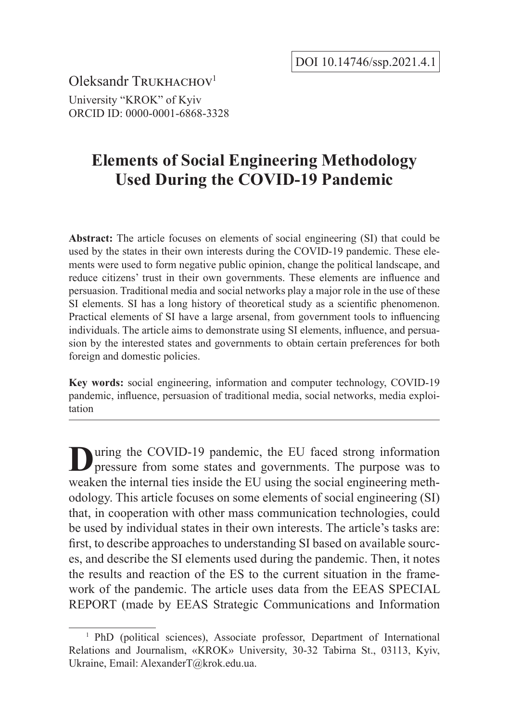$O$ leksandr Trukhachov<sup>1</sup> University "KROK" of Kyiv ORCID ID: 0000-0001-6868-3328

# **Elements of Social Engineering Methodology Used During the COVID-19 Pandemic**

**Abstract:** The article focuses on elements of social engineering (SI) that could be used by the states in their own interests during the COVID-19 pandemic. These elements were used to form negative public opinion, change the political landscape, and reduce citizens' trust in their own governments. These elements are influence and persuasion. Traditional media and social networks play a major role in the use of these SI elements. SI has a long history of theoretical study as a scientific phenomenon. Practical elements of SI have a large arsenal, from government tools to influencing individuals. The article aims to demonstrate using SI elements, influence, and persuasion by the interested states and governments to obtain certain preferences for both foreign and domestic policies.

**Key words:** social engineering, information and computer technology, COVID-19 pandemic, influence, persuasion of traditional media, social networks, media exploitation

**D**uring the COVID-19 pandemic, the EU faced strong information pressure from some states and governments. The purpose was to weaken the internal ties inside the EU using the social engineering methodology. This article focuses on some elements of social engineering (SI) that, in cooperation with other mass communication technologies, could be used by individual states in their own interests. The article's tasks are: first, to describe approaches to understanding SI based on available sources, and describe the SI elements used during the pandemic. Then, it notes the results and reaction of the ES to the current situation in the framework of the pandemic. The article uses data from the EEAS SPECIAL REPORT (made by EEAS Strategic Communications and Information

<sup>&</sup>lt;sup>1</sup> PhD (political sciences), Associate professor, Department of International Relations and Journalism, «KROK» University, 30-32 Tabirna St., 03113, Kyiv, Ukraine, Email: AlexanderT@krok.edu.ua.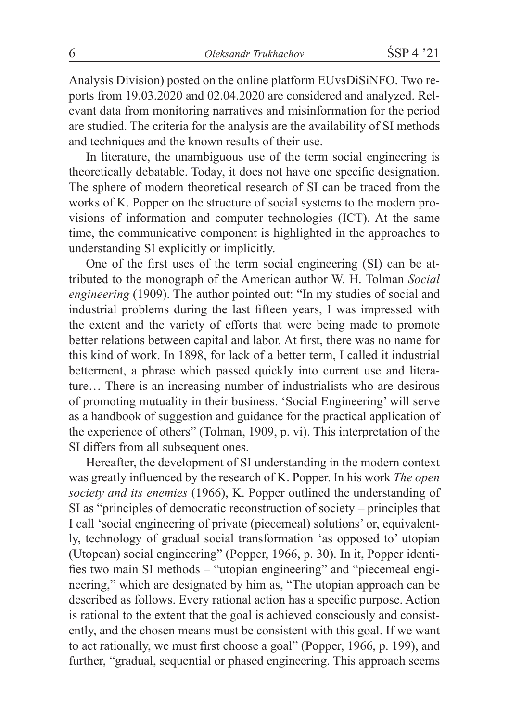Analysis Division) posted on the online platform EUvsDiSiNFO. Two reports from 19.03.2020 and 02.04.2020 are considered and analyzed. Relevant data from monitoring narratives and misinformation for the period are studied. The criteria for the analysis are the availability of SI methods and techniques and the known results of their use.

In literature, the unambiguous use of the term social engineering is theoretically debatable. Today, it does not have one specific designation. The sphere of modern theoretical research of SI can be traced from the works of K. Popper on the structure of social systems to the modern provisions of information and computer technologies (ICT). At the same time, the communicative component is highlighted in the approaches to understanding SI explicitly or implicitly.

One of the first uses of the term social engineering (SI) can be attributed to the monograph of the American author W. H. Tolman *Social engineering* (1909). The author pointed out: "In my studies of social and industrial problems during the last fifteen years, I was impressed with the extent and the variety of efforts that were being made to promote better relations between capital and labor. At first, there was no name for this kind of work. In 1898, for lack of a better term, I called it industrial betterment, a phrase which passed quickly into current use and literature… There is an increasing number of industrialists who are desirous of promoting mutuality in their business. 'Social Engineering' will serve as a handbook of suggestion and guidance for the practical application of the experience of others" (Tolman, 1909, p. vi). This interpretation of the SI differs from all subsequent ones.

Hereafter, the development of SI understanding in the modern context was greatly influenced by the research of K. Popper. In his work *The open society and its enemies* (1966), K. Popper outlined the understanding of SI as "principles of democratic reconstruction of society – principles that I call 'social engineering of private (piecemeal) solutions' or, equivalently, technology of gradual social transformation 'as opposed to' utopian (Utopean) social engineering" (Popper, 1966, p. 30). In it, Popper identifies two main SI methods – "utopian engineering" and "piecemeal engineering," which are designated by him as, "The utopian approach can be described as follows. Every rational action has a specific purpose. Action is rational to the extent that the goal is achieved consciously and consistently, and the chosen means must be consistent with this goal. If we want to act rationally, we must first choose a goal" (Popper, 1966, p. 199), and further, "gradual, sequential or phased engineering. This approach seems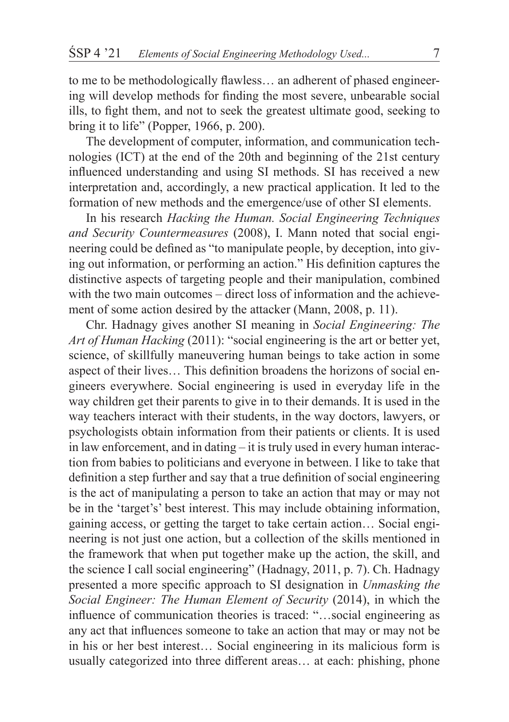to me to be methodologically flawless… an adherent of phased engineering will develop methods for finding the most severe, unbearable social ills, to fight them, and not to seek the greatest ultimate good, seeking to bring it to life" (Popper, 1966, p. 200).

The development of computer, information, and communication technologies (ICT) at the end of the 20th and beginning of the 21st century influenced understanding and using SI methods. SI has received a new interpretation and, accordingly, a new practical application. It led to the formation of new methods and the emergence/use of other SI elements.

In his research *Hacking the Human. Social Engineering Techniques and Security Countermeasures* (2008), I. Mann noted that social engineering could be defined as "to manipulate people, by deception, into giving out information, or performing an action." His definition captures the distinctive aspects of targeting people and their manipulation, combined with the two main outcomes – direct loss of information and the achievement of some action desired by the attacker (Mann, 2008, p. 11).

Chr. Hadnagy gives another SI meaning in *Social Engineering: The Art of Human Hacking* (2011): "social engineering is the art or better yet, science, of skillfully maneuvering human beings to take action in some aspect of their lives… This definition broadens the horizons of social engineers everywhere. Social engineering is used in everyday life in the way children get their parents to give in to their demands. It is used in the way teachers interact with their students, in the way doctors, lawyers, or psychologists obtain information from their patients or clients. It is used in law enforcement, and in dating – it is truly used in every human interaction from babies to politicians and everyone in between. I like to take that definition a step further and say that a true definition of social engineering is the act of manipulating a person to take an action that may or may not be in the 'target's' best interest. This may include obtaining information, gaining access, or getting the target to take certain action… Social engineering is not just one action, but a collection of the skills mentioned in the framework that when put together make up the action, the skill, and the science I call social engineering" (Hadnagy, 2011, p. 7). Ch. Hadnagy presented a more specific approach to SI designation in *Unmasking the Social Engineer: The Human Element of Security* (2014), in which the influence of communication theories is traced: "…social engineering as any act that influences someone to take an action that may or may not be in his or her best interest… Social engineering in its malicious form is usually categorized into three different areas… at each: phishing, phone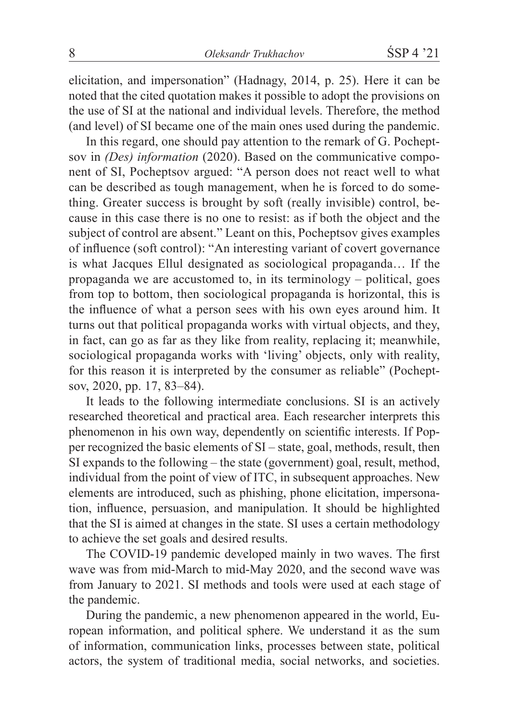elicitation, and impersonation" (Hadnagy, 2014, p. 25). Here it can be noted that the cited quotation makes it possible to adopt the provisions on the use of SI at the national and individual levels. Therefore, the method (and level) of SI became one of the main ones used during the pandemic.

In this regard, one should pay attention to the remark of G. Pocheptsov in *(Des) information* (2020). Based on the communicative component of SI, Pocheptsov argued: "A person does not react well to what can be described as tough management, when he is forced to do something. Greater success is brought by soft (really invisible) control, because in this case there is no one to resist: as if both the object and the subject of control are absent." Leant on this, Pocheptsov gives examples of influence (soft control): "An interesting variant of covert governance is what Jacques Ellul designated as sociological propaganda… If the propaganda we are accustomed to, in its terminology – political, goes from top to bottom, then sociological propaganda is horizontal, this is the influence of what a person sees with his own eyes around him. It turns out that political propaganda works with virtual objects, and they, in fact, can go as far as they like from reality, replacing it; meanwhile, sociological propaganda works with 'living' objects, only with reality, for this reason it is interpreted by the consumer as reliable" (Pocheptsov, 2020, pp. 17, 83–84).

It leads to the following intermediate conclusions. SI is an actively researched theoretical and practical area. Each researcher interprets this phenomenon in his own way, dependently on scientific interests. If Popper recognized the basic elements of SI – state, goal, methods, result, then SI expands to the following – the state (government) goal, result, method, individual from the point of view of ITC, in subsequent approaches. New elements are introduced, such as phishing, phone elicitation, impersonation, influence, persuasion, and manipulation. It should be highlighted that the SI is aimed at changes in the state. SI uses a certain methodology to achieve the set goals and desired results.

The COVID-19 pandemic developed mainly in two waves. The first wave was from mid-March to mid-May 2020, and the second wave was from January to 2021. SI methods and tools were used at each stage of the pandemic.

During the pandemic, a new phenomenon appeared in the world, European information, and political sphere. We understand it as the sum of information, communication links, processes between state, political actors, the system of traditional media, social networks, and societies.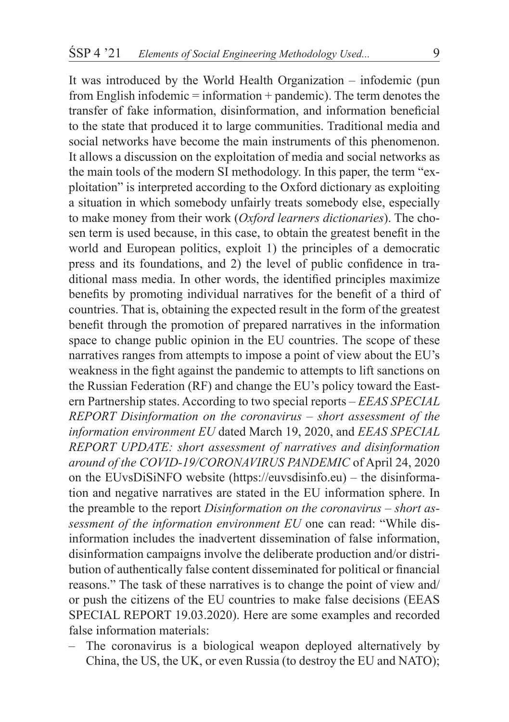It was introduced by the World Health Organization – infodemic (pun from English infodemic  $=$  information  $+$  pandemic). The term denotes the transfer of fake information, disinformation, and information beneficial to the state that produced it to large communities. Traditional media and social networks have become the main instruments of this phenomenon. It allows a discussion on the exploitation of media and social networks as the main tools of the modern SI methodology. In this paper, the term "exploitation" is interpreted according to the Oxford dictionary as exploiting a situation in which somebody unfairly treats somebody else, especially to make money from their work (*Oxford learners dictionaries*). The chosen term is used because, in this case, to obtain the greatest benefit in the world and European politics, exploit 1) the principles of a democratic press and its foundations, and 2) the level of public confidence in traditional mass media. In other words, the identified principles maximize benefits by promoting individual narratives for the benefit of a third of countries. That is, obtaining the expected result in the form of the greatest benefit through the promotion of prepared narratives in the information space to change public opinion in the EU countries. The scope of these narratives ranges from attempts to impose a point of view about the EU's weakness in the fight against the pandemic to attempts to lift sanctions on the Russian Federation (RF) and change the EU's policy toward the Eastern Partnership states. According to two special reports – *EEAS SPECIAL REPORT Disinformation on the coronavirus – short assessment of the information environment EU* dated March 19, 2020, and *EEAS SPECIAL REPORT UPDATE: short assessment of narratives and disinformation around of the COVID-19/CORONAVIRUS PANDEMIC* of April 24, 2020 on the EUvsDiSiNFO website (https://euvsdisinfo.eu) – the disinformation and negative narratives are stated in the EU information sphere. In the preamble to the report *Disinformation on the coronavirus – short assessment of the information environment EU* one can read: "While disinformation includes the inadvertent dissemination of false information, disinformation campaigns involve the deliberate production and/or distribution of authentically false content disseminated for political or financial reasons." The task of these narratives is to change the point of view and/ or push the citizens of the EU countries to make false decisions (EEAS SPECIAL REPORT 19.03.2020). Here are some examples and recorded false information materials:

– The coronavirus is a biological weapon deployed alternatively by China, the US, the UK, or even Russia (to destroy the EU and NATO);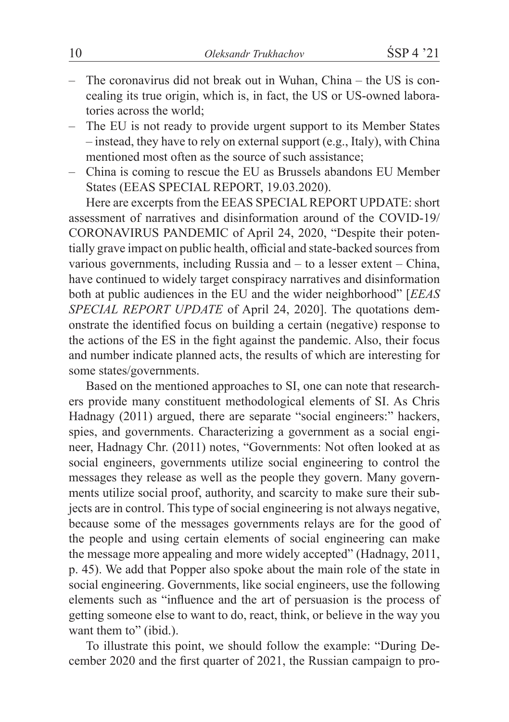- The coronavirus did not break out in Wuhan, China the US is concealing its true origin, which is, in fact, the US or US-owned laboratories across the world;
- The EU is not ready to provide urgent support to its Member States – instead, they have to rely on external support (e.g., Italy), with China mentioned most often as the source of such assistance;
- China is coming to rescue the EU as Brussels abandons EU Member States (EEAS SPECIAL REPORT, 19.03.2020).

Here are excerpts from the EEAS SPECIAL REPORT UPDATE: short assessment of narratives and disinformation around of the COVID-19/ CORONAVIRUS PANDEMIC of April 24, 2020, "Despite their potentially grave impact on public health, official and state-backed sources from various governments, including Russia and – to a lesser extent – China, have continued to widely target conspiracy narratives and disinformation both at public audiences in the EU and the wider neighborhood" [*EEAS SPECIAL REPORT UPDATE* of April 24, 2020]. The quotations demonstrate the identified focus on building a certain (negative) response to the actions of the ES in the fight against the pandemic. Also, their focus and number indicate planned acts, the results of which are interesting for some states/governments.

Based on the mentioned approaches to SI, one can note that researchers provide many constituent methodological elements of SI. As Chris Hadnagy (2011) argued, there are separate "social engineers:" hackers, spies, and governments. Characterizing a government as a social engineer, Hadnagy Chr. (2011) notes, "Governments: Not often looked at as social engineers, governments utilize social engineering to control the messages they release as well as the people they govern. Many governments utilize social proof, authority, and scarcity to make sure their subjects are in control. This type of social engineering is not always negative, because some of the messages governments relays are for the good of the people and using certain elements of social engineering can make the message more appealing and more widely accepted" (Hadnagy, 2011, p. 45). We add that Popper also spoke about the main role of the state in social engineering. Governments, like social engineers, use the following elements such as "influence and the art of persuasion is the process of getting someone else to want to do, react, think, or believe in the way you want them to" (ibid.).

To illustrate this point, we should follow the example: "During December 2020 and the first quarter of 2021, the Russian campaign to pro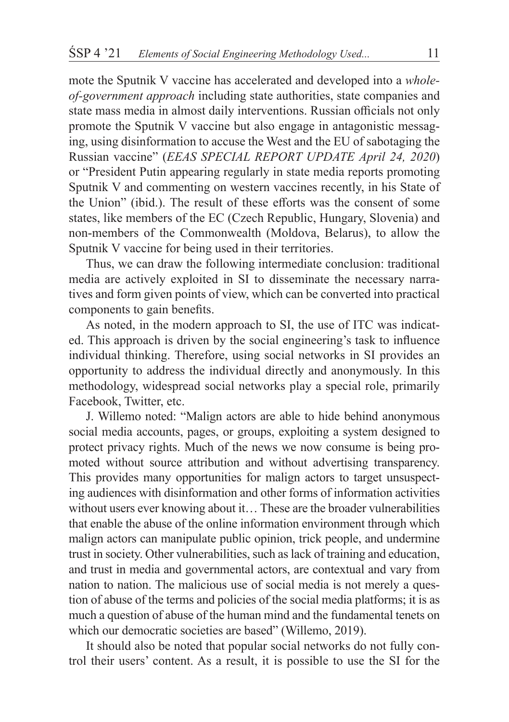mote the Sputnik V vaccine has accelerated and developed into a *wholeof-government approach* including state authorities, state companies and state mass media in almost daily interventions. Russian officials not only promote the Sputnik V vaccine but also engage in antagonistic messaging, using disinformation to accuse the West and the EU of sabotaging the Russian vaccine" (*EEAS SPECIAL REPORT UPDATE April 24, 2020*) or "President Putin appearing regularly in state media reports promoting Sputnik V and commenting on western vaccines recently, in his State of the Union" (ibid.). The result of these efforts was the consent of some states, like members of the EC (Czech Republic, Hungary, Slovenia) and non-members of the Commonwealth (Moldova, Belarus), to allow the Sputnik V vaccine for being used in their territories.

Thus, we can draw the following intermediate conclusion: traditional media are actively exploited in SI to disseminate the necessary narratives and form given points of view, which can be converted into practical components to gain benefits.

As noted, in the modern approach to SI, the use of ITC was indicated. This approach is driven by the social engineering's task to influence individual thinking. Therefore, using social networks in SI provides an opportunity to address the individual directly and anonymously. In this methodology, widespread social networks play a special role, primarily Facebook, Twitter, etc.

J. Willemo noted: "Malign actors are able to hide behind anonymous social media accounts, pages, or groups, exploiting a system designed to protect privacy rights. Much of the news we now consume is being promoted without source attribution and without advertising transparency. This provides many opportunities for malign actors to target unsuspecting audiences with disinformation and other forms of information activities without users ever knowing about it… These are the broader vulnerabilities that enable the abuse of the online information environment through which malign actors can manipulate public opinion, trick people, and undermine trust in society. Other vulnerabilities, such as lack of training and education, and trust in media and governmental actors, are contextual and vary from nation to nation. The malicious use of social media is not merely a question of abuse of the terms and policies of the social media platforms; it is as much a question of abuse of the human mind and the fundamental tenets on which our democratic societies are based" (Willemo, 2019).

It should also be noted that popular social networks do not fully control their users' content. As a result, it is possible to use the SI for the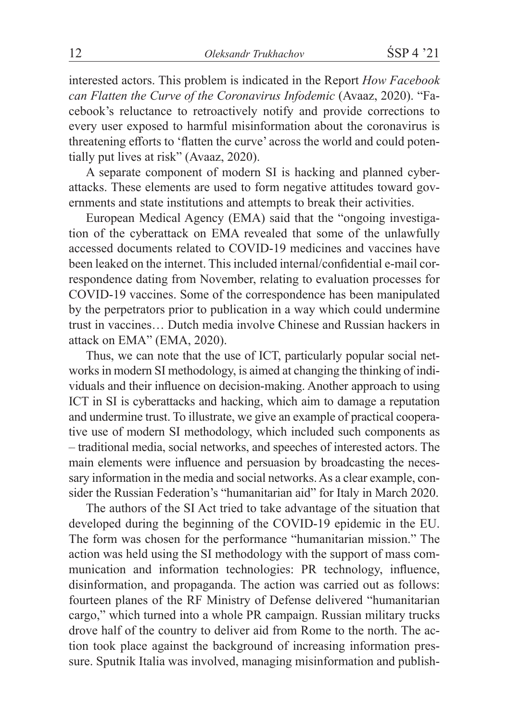interested actors. This problem is indicated in the Report *How Facebook can Flatten the Curve of the Coronavirus Infodemic* (Avaaz, 2020). "Facebook's reluctance to retroactively notify and provide corrections to every user exposed to harmful misinformation about the coronavirus is threatening efforts to 'flatten the curve' across the world and could potentially put lives at risk" (Avaaz, 2020).

A separate component of modern SI is hacking and planned cyberattacks. These elements are used to form negative attitudes toward governments and state institutions and attempts to break their activities.

European Medical Agency (EMA) said that the "ongoing investigation of the cyberattack on EMA revealed that some of the unlawfully accessed documents related to COVID-19 medicines and vaccines have been leaked on the internet. This included internal/confidential e-mail correspondence dating from November, relating to evaluation processes for COVID-19 vaccines. Some of the correspondence has been manipulated by the perpetrators prior to publication in a way which could undermine trust in vaccines… Dutch media involve Chinese and Russian hackers in attack on EMA" (EMA, 2020).

Thus, we can note that the use of ICT, particularly popular social networks in modern SI methodology, is aimed at changing the thinking of individuals and their influence on decision-making. Another approach to using ICT in SI is cyberattacks and hacking, which aim to damage a reputation and undermine trust. To illustrate, we give an example of practical cooperative use of modern SI methodology, which included such components as – traditional media, social networks, and speeches of interested actors. The main elements were influence and persuasion by broadcasting the necessary information in the media and social networks. As a clear example, consider the Russian Federation's "humanitarian aid" for Italy in March 2020.

The authors of the SI Act tried to take advantage of the situation that developed during the beginning of the COVID-19 epidemic in the EU. The form was chosen for the performance "humanitarian mission." The action was held using the SI methodology with the support of mass communication and information technologies: PR technology, influence, disinformation, and propaganda. The action was carried out as follows: fourteen planes of the RF Ministry of Defense delivered "humanitarian cargo," which turned into a whole PR campaign. Russian military trucks drove half of the country to deliver aid from Rome to the north. The action took place against the background of increasing information pressure. Sputnik Italia was involved, managing misinformation and publish-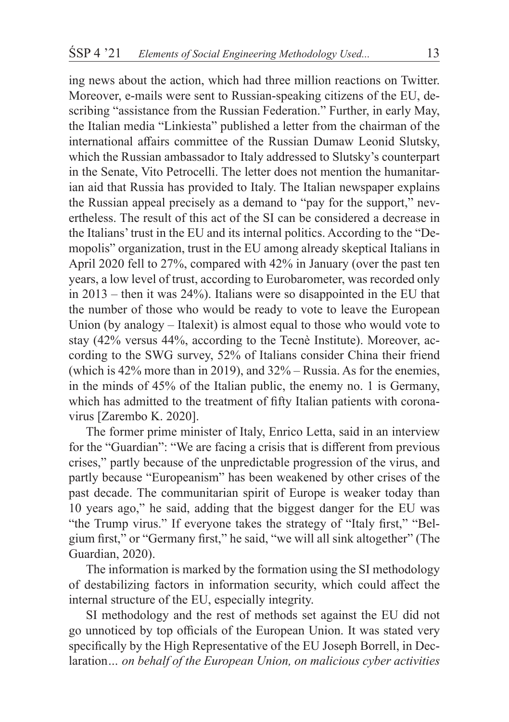ing news about the action, which had three million reactions on Twitter. Moreover, e-mails were sent to Russian-speaking citizens of the EU, describing "assistance from the Russian Federation." Further, in early May, the Italian media "Linkiesta" published a letter from the chairman of the international affairs committee of the Russian Dumaw Leonid Slutsky, which the Russian ambassador to Italy addressed to Slutsky's counterpart in the Senate, Vito Petrocelli. The letter does not mention the humanitarian aid that Russia has provided to Italy. The Italian newspaper explains the Russian appeal precisely as a demand to "pay for the support," nevertheless. The result of this act of the SI can be considered a decrease in the Italians' trust in the EU and its internal politics. According to the "Demopolis" organization, trust in the EU among already skeptical Italians in April 2020 fell to 27%, compared with 42% in January (over the past ten years, a low level of trust, according to Eurobarometer, was recorded only in 2013 – then it was 24%). Italians were so disappointed in the EU that the number of those who would be ready to vote to leave the European Union (by analogy – Italexit) is almost equal to those who would vote to stay (42% versus 44%, according to the Tecnè Institute). Moreover, according to the SWG survey, 52% of Italians consider China their friend (which is 42% more than in 2019), and 32% – Russia. As for the enemies, in the minds of 45% of the Italian public, the enemy no. 1 is Germany, which has admitted to the treatment of fifty Italian patients with coronavirus [Zarembo K. 2020].

The former prime minister of Italy, Enrico Letta, said in an interview for the "Guardian": "We are facing a crisis that is different from previous crises," partly because of the unpredictable progression of the virus, and partly because "Europeanism" has been weakened by other crises of the past decade. The communitarian spirit of Europe is weaker today than 10 years ago," he said, adding that the biggest danger for the EU was "the Trump virus." If everyone takes the strategy of "Italy first," "Belgium first," or "Germany first," he said, "we will all sink altogether" (The Guardian, 2020).

The information is marked by the formation using the SI methodology of destabilizing factors in information security, which could affect the internal structure of the EU, especially integrity.

SI methodology and the rest of methods set against the EU did not go unnoticed by top officials of the European Union. It was stated very specifically by the High Representative of the EU Joseph Borrell, in Declaration*… on behalf of the European Union, on malicious cyber activities*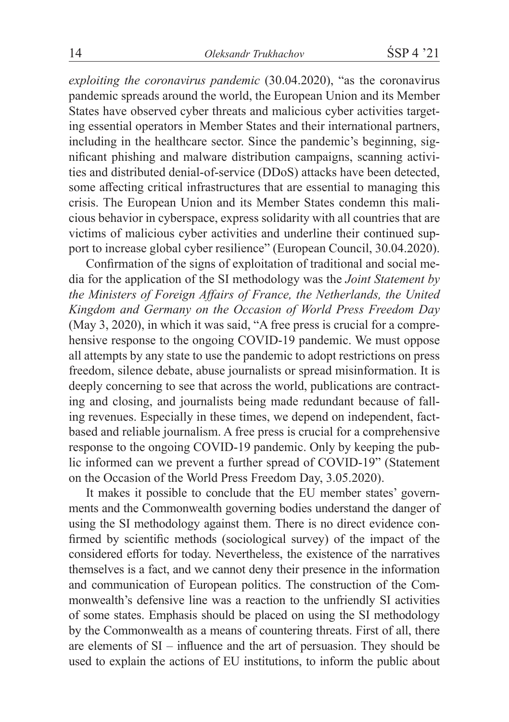*exploiting the coronavirus pandemic* (30.04.2020), "as the coronavirus pandemic spreads around the world, the European Union and its Member States have observed cyber threats and malicious cyber activities targeting essential operators in Member States and their international partners, including in the healthcare sector. Since the pandemic's beginning, significant phishing and malware distribution campaigns, scanning activities and distributed denial-of-service (DDoS) attacks have been detected, some affecting critical infrastructures that are essential to managing this crisis. The European Union and its Member States condemn this malicious behavior in cyberspace, express solidarity with all countries that are victims of malicious cyber activities and underline their continued support to increase global cyber resilience" (European Council, 30.04.2020).

Confirmation of the signs of exploitation of traditional and social media for the application of the SI methodology was the *Joint Statement by the Ministers of Foreign Affairs of France, the Netherlands, the United Kingdom and Germany on the Occasion of World Press Freedom Day*  (May 3, 2020), in which it was said, "A free press is crucial for a comprehensive response to the ongoing COVID-19 pandemic. We must oppose all attempts by any state to use the pandemic to adopt restrictions on press freedom, silence debate, abuse journalists or spread misinformation. It is deeply concerning to see that across the world, publications are contracting and closing, and journalists being made redundant because of falling revenues. Especially in these times, we depend on independent, factbased and reliable journalism. A free press is crucial for a comprehensive response to the ongoing COVID-19 pandemic. Only by keeping the public informed can we prevent a further spread of COVID-19" (Statement on the Occasion of the World Press Freedom Day, 3.05.2020).

It makes it possible to conclude that the EU member states' governments and the Commonwealth governing bodies understand the danger of using the SI methodology against them. There is no direct evidence confirmed by scientific methods (sociological survey) of the impact of the considered efforts for today. Nevertheless, the existence of the narratives themselves is a fact, and we cannot deny their presence in the information and communication of European politics. The construction of the Commonwealth's defensive line was a reaction to the unfriendly SI activities of some states. Emphasis should be placed on using the SI methodology by the Commonwealth as a means of countering threats. First of all, there are elements of SI – influence and the art of persuasion. They should be used to explain the actions of EU institutions, to inform the public about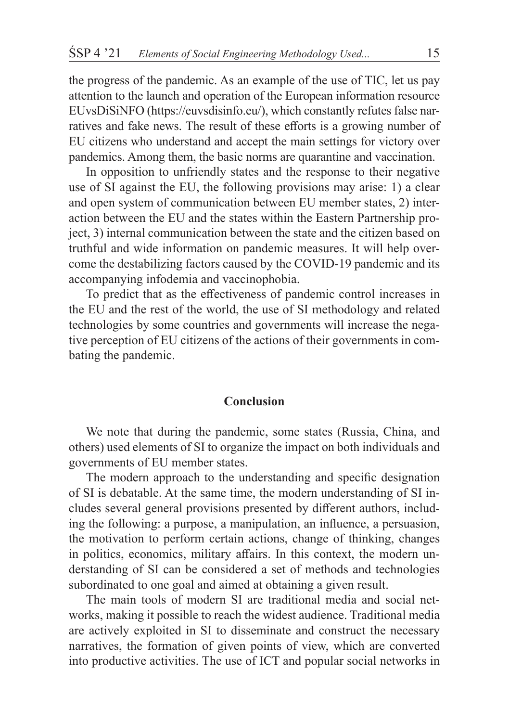the progress of the pandemic. As an example of the use of TIC, let us pay attention to the launch and operation of the European information resource EUvsDiSiNFO (https://euvsdisinfo.eu/), which constantly refutes false narratives and fake news. The result of these efforts is a growing number of EU citizens who understand and accept the main settings for victory over pandemics. Among them, the basic norms are quarantine and vaccination.

In opposition to unfriendly states and the response to their negative use of SI against the EU, the following provisions may arise: 1) a clear and open system of communication between EU member states, 2) interaction between the EU and the states within the Eastern Partnership project, 3) internal communication between the state and the citizen based on truthful and wide information on pandemic measures. It will help overcome the destabilizing factors caused by the COVID-19 pandemic and its accompanying infodemia and vaccinophobia.

To predict that as the effectiveness of pandemic control increases in the EU and the rest of the world, the use of SI methodology and related technologies by some countries and governments will increase the negative perception of EU citizens of the actions of their governments in combating the pandemic.

## **Conclusion**

We note that during the pandemic, some states (Russia, China, and others) used elements of SI to organize the impact on both individuals and governments of EU member states.

The modern approach to the understanding and specific designation of SI is debatable. At the same time, the modern understanding of SI includes several general provisions presented by different authors, including the following: a purpose, a manipulation, an influence, a persuasion, the motivation to perform certain actions, change of thinking, changes in politics, economics, military affairs. In this context, the modern understanding of SI can be considered a set of methods and technologies subordinated to one goal and aimed at obtaining a given result.

The main tools of modern SI are traditional media and social networks, making it possible to reach the widest audience. Traditional media are actively exploited in SI to disseminate and construct the necessary narratives, the formation of given points of view, which are converted into productive activities. The use of ICT and popular social networks in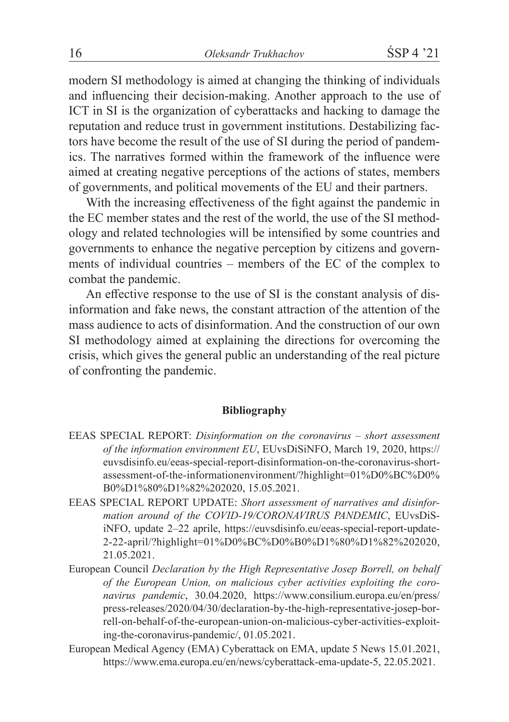modern SI methodology is aimed at changing the thinking of individuals and influencing their decision-making. Another approach to the use of ICT in SI is the organization of cyberattacks and hacking to damage the reputation and reduce trust in government institutions. Destabilizing factors have become the result of the use of SI during the period of pandemics. The narratives formed within the framework of the influence were aimed at creating negative perceptions of the actions of states, members of governments, and political movements of the EU and their partners.

With the increasing effectiveness of the fight against the pandemic in the EC member states and the rest of the world, the use of the SI methodology and related technologies will be intensified by some countries and governments to enhance the negative perception by citizens and governments of individual countries – members of the EC of the complex to combat the pandemic.

An effective response to the use of SI is the constant analysis of disinformation and fake news, the constant attraction of the attention of the mass audience to acts of disinformation. And the construction of our own SI methodology aimed at explaining the directions for overcoming the crisis, which gives the general public an understanding of the real picture of confronting the pandemic.

#### **Bibliography**

- EEAS SPECIAL REPORT: *Disinformation on the coronavirus short assessment of the information environment EU*, EUvsDiSiNFO, March 19, 2020, https:// euvsdisinfo.eu/eeas-special-report-disinformation-on-the-coronavirus-shortassessment-of-the-informationenvironment/?highlight=01%D0%BC%D0% B0%D1%80%D1%82%202020, 15.05.2021.
- EEAS SPECIAL REPORT UPDATE: *Short assessment of narratives and disinformation around of the COVID-19/CORONAVIRUS PANDEMIC*, EUvsDiSiNFO, update 2–22 aprile, https://euvsdisinfo.eu/eeas-special-report-update-2-22-april/?highlight=01%D0%BC%D0%B0%D1%80%D1%82%202020, 21.05.2021.
- European Council *Declaration by the High Representative Josep Borrell, on behalf of the European Union, on malicious cyber activities exploiting the coronavirus pandemic*, 30.04.2020, https://www.consilium.europa.eu/en/press/ press-releases/2020/04/30/declaration-by-the-high-representative-josep-borrell-on-behalf-of-the-european-union-on-malicious-cyber-activities-exploiting-the-coronavirus-pandemic/, 01.05.2021.
- European Medical Agency (EMA) Cyberattack on EMA, update 5 News 15.01.2021, https://www.ema.europa.eu/en/news/cyberattack-ema-update-5, 22.05.2021.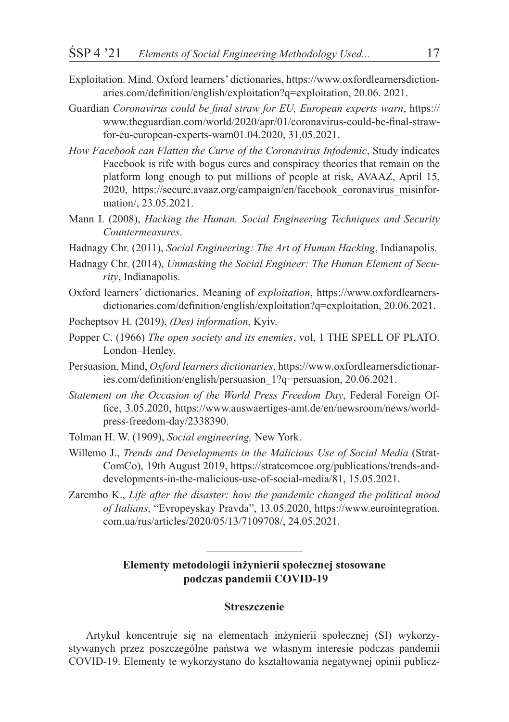- Exploitation. Mind. Oxford learners' dictionaries, https://www.oxfordlearnersdictionaries.com/definition/english/exploitation?q=exploitation, 20.06. 2021.
- Guardian *Coronavirus could be final straw for EU, European experts warn*, https:// www.theguardian.com/world/2020/apr/01/coronavirus-could-be-final-strawfor-eu-european-experts-warn01.04.2020, 31.05.2021.
- *How Facebook can Flatten the Curve of the Coronavirus Infodemic*, Study indicates Facebook is rife with bogus cures and conspiracy theories that remain on the platform long enough to put millions of people at risk, AVAAZ, April 15, 2020, https://secure.avaaz.org/campaign/en/facebook\_coronavirus\_misinformation/, 23.05.2021.
- Mann I. (2008), *Hacking the Human. Social Engineering Techniques and Security Countermeasures*.
- Hadnagy Chr. (2011), *Social Engineering: The Art of Human Hacking*, Indianapolis.
- Hadnagy Chr. (2014), *Unmasking the Social Engineer: The Human Element of Security*, Indianapolis.
- Oxford learners' dictionaries. Meaning of *exploitation*, https://www.oxfordlearnersdictionaries.com/definition/english/exploitation?q=exploitation, 20.06.2021.
- Pocheptsov H. (2019), *(Des) information*, Kyiv.
- Popper C. (1966) *The open society and its enemies*, vol, 1 THE SPELL OF PLATO, London–Henley.
- Persuasion, Mind, *Oxford learners dictionaries*, https://www.oxfordlearnersdictionaries.com/definition/english/persuasion\_1?q=persuasion, 20.06.2021.
- *Statement on the Occasion of the World Press Freedom Day*, Federal Foreign Office, 3.05.2020, https://www.auswaertiges-amt.de/en/newsroom/news/worldpress-freedom-day/2338390.

Tolman H. W. (1909), *Social engineering,* New York.

- Willemo J., *Trends and Developments in the Malicious Use of Social Media* (Strat-ComCo), 19th August 2019, https://stratcomcoe.org/publications/trends-anddevelopments-in-the-malicious-use-of-social-media/81, 15.05.2021.
- Zarembo K., *Life after the disaster: how the pandemic changed the political mood of Italians*, "Evropeyskay Pravda", 13.05.2020, https://www.eurointegration. com.ua/rus/articles/2020/05/13/7109708/, 24.05.2021.

## **Elementy metodologii inżynierii społecznej stosowane podczas pandemii COVID-19**

### **Streszczenie**

Artykuł koncentruje się na elementach inżynierii społecznej (SI) wykorzystywanych przez poszczególne państwa we własnym interesie podczas pandemii COVID-19. Elementy te wykorzystano do kształtowania negatywnej opinii publicz